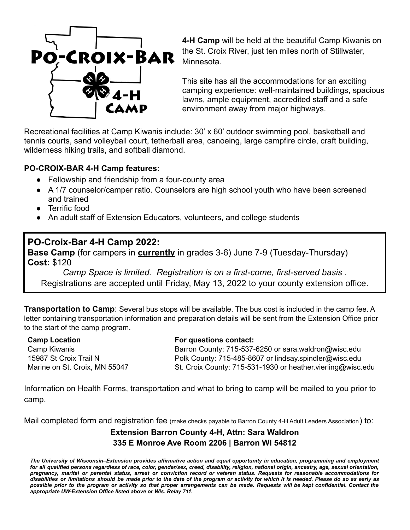

**4-H Camp** will be held at the beautiful Camp Kiwanis on the St. Croix River, just ten miles north of Stillwater, Minnesota.

This site has all the accommodations for an exciting camping experience: well-maintained buildings, spacious lawns, ample equipment, accredited staff and a safe environment away from major highways.

Recreational facilities at Camp Kiwanis include: 30' x 60' outdoor swimming pool, basketball and tennis courts, sand volleyball court, tetherball area, canoeing, large campfire circle, craft building, wilderness hiking trails, and softball diamond.

## **PO-CROIX-BAR 4-H Camp features:**

- Fellowship and friendship from a four-county area
- A 1/7 counselor/camper ratio. Counselors are high school youth who have been screened and trained
- Terrific food
- An adult staff of Extension Educators, volunteers, and college students

## **PO-Croix-Bar 4-H Camp 2022:**

**Base Camp** (for campers in **currently** in grades 3-6) June 7-9 (Tuesday-Thursday) **Cost:** \$120

*Camp Space is limited. Registration is on a first-come, first-served basis .* Registrations are accepted until Friday, May 13, 2022 to your county extension office.

**Transportation to Camp**: Several bus stops will be available. The bus cost is included in the camp fee. A letter containing transportation information and preparation details will be sent from the Extension Office prior to the start of the camp program.

**Camp Location** Camp Kiwanis 15987 St Croix Trail N Marine on St. Croix, MN 55047

## **For questions contact:**

Barron County: 715-537-6250 or sara.waldron@wisc.edu Polk County: 715-485-8607 or lindsay.spindler@wisc.edu St. Croix County: 715-531-1930 or heather.vierling@wisc.edu

Information on Health Forms, transportation and what to bring to camp will be mailed to you prior to camp.

Mail completed form and registration fee (make checks payable to Barron County 4-H Adult Leaders Association) to:

## **Extension Barron County 4-H, Attn: Sara Waldron 335 E Monroe Ave Room 2206 | Barron WI 54812**

The University of Wisconsin-Extension provides affirmative action and equal opportunity in education, programming and employment for all qualified persons regardless of race, color, gender/sex, creed, disability, religion, national origin, ancestry, age, sexual orientation, pregnancy, marital or parental status, arrest or conviction record or veteran status. Requests for reasonable accommodations for disabilities or limitations should be made prior to the date of the program or activity for which it is needed. Please do so as early as possible prior to the program or activity so that proper arrangements can be made. Requests will be kept confidential. Contact the *appropriate UW-Extension Office listed above or Wis. Relay 711.*